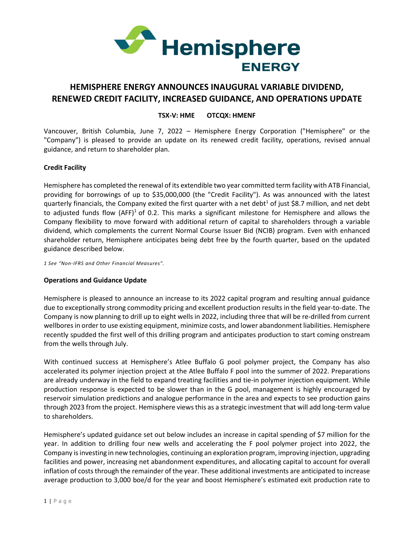

# **HEMISPHERE ENERGY ANNOUNCES INAUGURAL VARIABLE DIVIDEND, RENEWED CREDIT FACILITY, INCREASED GUIDANCE, AND OPERATIONS UPDATE**

## **TSX-V: HME OTCQX: HMENF**

Vancouver, British Columbia, June 7, 2022 – Hemisphere Energy Corporation ("Hemisphere" or the "Company") is pleased to provide an update on its renewed credit facility, operations, revised annual guidance, and return to shareholder plan.

## **Credit Facility**

Hemisphere has completed the renewal of its extendible two year committed term facility with ATB Financial, providing for borrowings of up to \$35,000,000 (the "Credit Facility"). As was announced with the latest quarterly financials, the Company exited the first quarter with a net debt<sup>1</sup> of just \$8.7 million, and net debt to adjusted funds flow (AFF)<sup>1</sup> of 0.2. This marks a significant milestone for Hemisphere and allows the Company flexibility to move forward with additional return of capital to shareholders through a variable dividend, which complements the current Normal Course Issuer Bid (NCIB) program. Even with enhanced shareholder return, Hemisphere anticipates being debt free by the fourth quarter, based on the updated guidance described below.

*1 See "Non-IFRS and Other Financial Measures".*

## **Operations and Guidance Update**

Hemisphere is pleased to announce an increase to its 2022 capital program and resulting annual guidance due to exceptionally strong commodity pricing and excellent production results in the field year-to-date. The Company is now planning to drill up to eight wells in 2022, including three that will be re-drilled from current wellbores in order to use existing equipment, minimize costs, and lower abandonment liabilities. Hemisphere recently spudded the first well of this drilling program and anticipates production to start coming onstream from the wells through July.

With continued success at Hemisphere's Atlee Buffalo G pool polymer project, the Company has also accelerated its polymer injection project at the Atlee Buffalo F pool into the summer of 2022. Preparations are already underway in the field to expand treating facilities and tie-in polymer injection equipment. While production response is expected to be slower than in the G pool, management is highly encouraged by reservoir simulation predictions and analogue performance in the area and expects to see production gains through 2023 from the project. Hemisphere views this as a strategic investment that will add long-term value to shareholders.

Hemisphere's updated guidance set out below includes an increase in capital spending of \$7 million for the year. In addition to drilling four new wells and accelerating the F pool polymer project into 2022, the Company isinvesting in new technologies, continuing an exploration program, improving injection, upgrading facilities and power, increasing net abandonment expenditures, and allocating capital to account for overall inflation of costs through the remainder of the year. These additional investments are anticipated to increase average production to 3,000 boe/d for the year and boost Hemisphere's estimated exit production rate to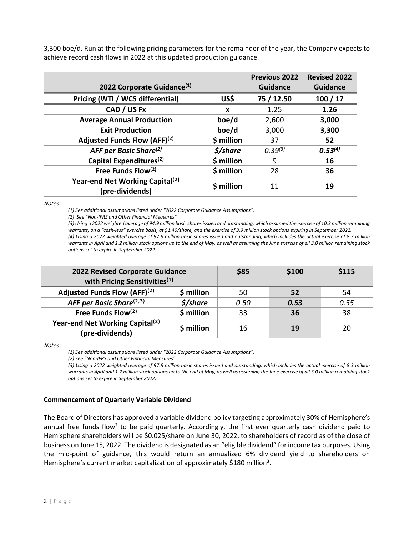3,300 boe/d. Run at the following pricing parameters for the remainder of the year, the Company expects to achieve record cash flows in 2022 at this updated production guidance.

|                                                                |            | <b>Previous 2022</b> | <b>Revised 2022</b> |
|----------------------------------------------------------------|------------|----------------------|---------------------|
| 2022 Corporate Guidance <sup>(1)</sup>                         |            | <b>Guidance</b>      | <b>Guidance</b>     |
| Pricing (WTI / WCS differential)                               | US\$       | 75 / 12.50           | 100/17              |
| CAD / US Fx                                                    | X          | 1.25                 | 1.26                |
| <b>Average Annual Production</b>                               | boe/d      | 2,600                | 3,000               |
| <b>Exit Production</b>                                         | boe/d      | 3,000                | 3,300               |
| Adjusted Funds Flow (AFF) <sup>(2)</sup>                       | \$ million | 37                   | 52                  |
| AFF per Basic Share <sup>(2)</sup>                             | \$/share   | 0.39(3)              | 0.53 <sup>(4)</sup> |
| Capital Expenditures <sup>(2)</sup>                            | \$ million | 9                    | 16                  |
| Free Funds Flow <sup>(2)</sup>                                 | \$ million | 28                   | 36                  |
| Year-end Net Working Capital <sup>(2)</sup><br>(pre-dividends) | \$ million | 11                   | 19                  |

Notes:

*(1) See additional assumptions listed under "2022 Corporate Guidance Assumptions".*

*(2) See "Non-IFRS and Other Financial Measures".*

*(3) Using a 2022 weighted average of 94.9 million basic shares issued and outstanding, which assumed the exercise of 10.3 million remaining warrants, on a "cash-less" exercise basis, at \$1.40/share, and the exercise of 3.9 million stock options expiring in September 2022. (4) Using a 2022 weighted average of 97.8 million basic shares issued and outstanding, which includes the actual exercise of 8.3 million*

*warrants in April and 1.2 million stock options up to the end of May, as well as assuming the June exercise of all 3.0 million remaining stock options set to expire in September 2022.*

| 2022 Revised Corporate Guidance<br>with Pricing Sensitivities <sup>(1)</sup> |            | \$85 | \$100 | \$115 |
|------------------------------------------------------------------------------|------------|------|-------|-------|
| Adjusted Funds Flow (AFF) <sup>(2)</sup>                                     | \$ million | 50   | 52    | 54    |
| AFF per Basic Share <sup>(2,3)</sup>                                         | \$/share   | 0.50 | 0.53  | 0.55  |
| Free Funds Flow <sup>(2)</sup>                                               | \$ million | 33   | 36    | 38    |
| Year-end Net Working Capital <sup>(2)</sup><br>(pre-dividends)               | \$ million | 16   | 19    | 20    |

Notes:

*(1) See additional assumptions listed under "2022 Corporate Guidance Assumptions".*

*(2) See "Non-IFRS and Other Financial Measures".*

*(3) Using a 2022 weighted average of 97.8 million basic shares issued and outstanding, which includes the actual exercise of 8.3 million warrants in April and 1.2 million stock options up to the end of May, as well as assuming the June exercise of all 3.0 million remaining stock options set to expire in September 2022.*

## **Commencement of Quarterly Variable Dividend**

The Board of Directors has approved a variable dividend policy targeting approximately 30% of Hemisphere's annual free funds flow<sup>2</sup> to be paid quarterly. Accordingly, the first ever quarterly cash dividend paid to Hemisphere shareholders will be \$0.025/share on June 30, 2022, to shareholders of record as of the close of business on June 15, 2022. The dividend is designated as an "eligible dividend" for income tax purposes. Using the mid-point of guidance, this would return an annualized 6% dividend yield to shareholders on Hemisphere's current market capitalization of approximately \$180 million<sup>3</sup>.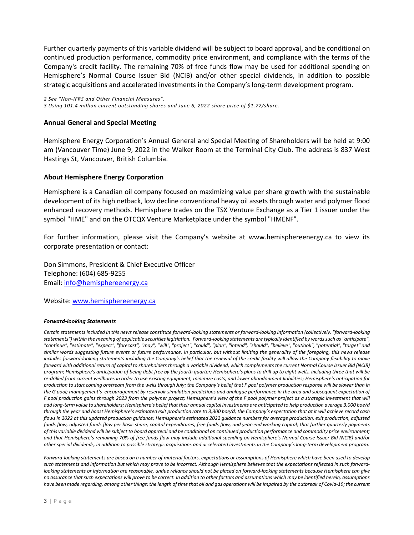Further quarterly payments of this variable dividend will be subject to board approval, and be conditional on continued production performance, commodity price environment, and compliance with the terms of the Company's credit facility. The remaining 70% of free funds flow may be used for additional spending on Hemisphere's Normal Course Issuer Bid (NCIB) and/or other special dividends, in addition to possible strategic acquisitions and accelerated investments in the Company's long-term development program.

*2 See "Non-IFRS and Other Financial Measures". 3 Using 101.4 million current outstanding shares and June 6, 2022 share price of \$1.77/share.*

## **Annual General and Special Meeting**

Hemisphere Energy Corporation's Annual General and Special Meeting of Shareholders will be held at 9:00 am (Vancouver Time) June 9, 2022 in the Walker Room at the Terminal City Club. The address is 837 West Hastings St, Vancouver, British Columbia.

## **About Hemisphere Energy Corporation**

Hemisphere is a Canadian oil company focused on maximizing value per share growth with the sustainable development of its high netback, low decline conventional heavy oil assets through water and polymer flood enhanced recovery methods. Hemisphere trades on the TSX Venture Exchange as a Tier 1 issuer under the symbol "HME" and on the OTCQX Venture Marketplace under the symbol "HMENF".

For further information, please visit the Company's website at www.hemisphereenergy.ca to view its corporate presentation or contact:

Don Simmons, President & Chief Executive Officer Telephone: (604) 685-9255 Email[: info@hemisphereenergy.ca](mailto:info@hemisphereenergy.ca)

Website: [www.hemisphereenergy.ca](http://www.hemisphereenergy.ca/)

### *Forward-looking Statements*

Certain statements included in this news release constitute forward-looking statements or forward-looking information (collectively, "forward-looking *statements") within the meaning of applicable securities legislation. Forward-looking statements are typically identified by words such as "anticipate", "continue", "estimate", "expect", "forecast", "may", "will", "project", "could", "plan", "intend", "should", "believe", "outlook", "potential", "target" and similar words suggesting future events or future performance. In particular, but without limiting the generality of the foregoing, this news release includes forward-looking statements including the Company's belief that the renewal of the credit facility will allow the Company flexibility to move forward with additional return of capital to shareholders through a variable dividend, which complements the current Normal Course Issuer Bid (NCIB)*  program; Hemisphere's anticipation of being debt free by the fourth quarter; Hemisphere's plans to drill up to eight wells, including three that will be *re-drilled from current wellbores in order to use existing equipment, minimize costs, and lower abandonment liabilities; Hemisphere's anticipation for production to start coming onstream from the wells through July; the Company's belief that F pool polymer production response will be slower than in the G pool; management's encouragement by reservoir simulation predictions and analogue performance in the area and subsequent expectation of F pool production gains through 2023 from the polymer project; Hemisphere's view of the F pool polymer project as a strategic investment that will add long-term value to shareholders; Hemisphere's belief that their annual capital investments are anticipated to help production average 3,000 boe/d through the year and boost Hemisphere's estimated exit production rate to 3,300 boe/d; the Company's expectation that at it will achieve record cash flows in 2022 at this updated production guidance; Hemisphere's estimated 2022 guidance numbers for average production, exit production, adjusted funds flow, adjusted funds flow per basic share, capital expenditures, free funds flow, and year-end working capital; that further quarterly payments of this variable dividend will be subject to board approval and be conditional on continued production performance and commodity price environment; and that Hemisphere's remaining 70% of free funds flow may include additional spending on Hemisphere's Normal Course Issuer Bid (NCIB) and/or other special dividends, in addition to possible strategic acquisitions and accelerated investments in the Company's long-term development program.*

*Forward‐looking statements are based on a number of material factors, expectations or assumptions of Hemisphere which have been used to develop such statements and information but which may prove to be incorrect. Although Hemisphere believes that the expectations reflected in such forward‐ looking statements or information are reasonable, undue reliance should not be placed on forward‐looking statements because Hemisphere can give no assurance that such expectations will prove to be correct. In addition to other factors and assumptions which may be identified herein, assumptions have been made regarding, among other things: the length of time that oil and gas operations will be impaired by the outbreak of Covid-19; the current*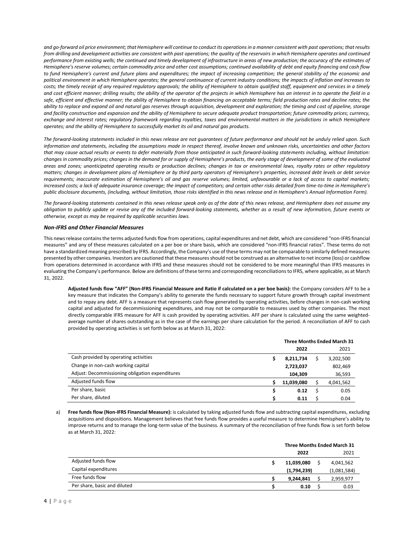*and go-forward oil price environment; that Hemisphere will continue to conduct its operations in a manner consistent with past operations; that results*  from drilling and development activities are consistent with past operations; the quality of the reservoirs in which Hemisphere operates and continued performance from existing wells; the continued and timely development of infrastructure in areas of new production; the accuracy of the estimates of *Hemisphere's reserve volumes; certain commodity price and other cost assumptions; continued availability of debt and equity financing and cash flow to fund Hemisphere's current and future plans and expenditures; the impact of increasing competition; the general stability of the economic and political environment in which Hemisphere operates; the general continuance of current industry conditions; the impacts of inflation and increases to*  costs; the timely receipt of any required regulatory approvals; the ability of Hemisphere to obtain qualified staff, equipment and services in a timely *and cost efficient manner; drilling results; the ability of the operator of the projects in which Hemisphere has an interest in to operate the field in a safe, efficient and effective manner; the ability of Hemisphere to obtain financing on acceptable terms; field production rates and decline rates; the ability to replace and expand oil and natural gas reserves through acquisition, development and exploration; the timing and cost of pipeline, storage and facility construction and expansion and the ability of Hemisphere to secure adequate product transportation; future commodity prices; currency, exchange and interest rates; regulatory framework regarding royalties, taxes and environmental matters in the jurisdictions in which Hemisphere operates; and the ability of Hemisphere to successfully market its oil and natural gas products.*

*The forward‐looking statements included in this news release are not guarantees of future performance and should not be unduly relied upon. Such information and statements, including the assumptions made in respect thereof, involve known and unknown risks, uncertainties and other factors that may cause actual results or events to defer materially from those anticipated in such forward‐looking statements including, without limitation: changes in commodity prices; changes in the demand for or supply of Hemisphere's products, the early stage of development of some of the evaluated areas and zones; unanticipated operating results or production declines; changes in tax or environmental laws, royalty rates or other regulatory matters; changes in development plans of Hemisphere or by third party operators of Hemisphere's properties, increased debt levels or debt service requirements; inaccurate estimation of Hemisphere's oil and gas reserve volumes; limited, unfavourable or a lack of access to capital markets; increased costs; a lack of adequate insurance coverage; the impact of competitors; and certain other risks detailed from time‐to‐time in Hemisphere's public disclosure documents, (including, without limitation, those risks identified in this news release and in Hemisphere's Annual Information Form).*

The forward-looking statements contained in this news release speak only as of the date of this news release, and Hemisphere does not assume any *obligation to publicly update or revise any of the included forward‐looking statements, whether as a result of new information, future events or otherwise, except as may be required by applicable securities laws.*

### *Non-IFRS and Other Financial Measures*

This news release contains the terms adjusted funds flow from operations, capital expenditures and net debt, which are considered "non-IFRS financial measures" and any of these measures calculated on a per boe or share basis, which are considered "non-IFRS financial ratios". These terms do not have a standardized meaning prescribed by IFRS. Accordingly, the Company's use of these terms may not be comparable to similarly defined measures presented by other companies. Investors are cautioned that these measures should not be construed as an alternative to net income (loss) or cashflow from operations determined in accordance with IFRS and these measures should not be considered to be more meaningful than IFRS measures in evaluating the Company's performance. Below are definitions of these terms and corresponding reconciliations to IFRS, where applicable, as at March 31, 2022.

**Adjusted funds flow "AFF" (Non-IFRS Financial Measure and Ratio if calculated on a per boe basis):** the Company considers AFF to be a key measure that indicates the Company's ability to generate the funds necessary to support future growth through capital investment and to repay any debt. AFF is a measure that represents cash flow generated by operating activities, before changes in non-cash working capital and adjusted for decommissioning expenditures, and may not be comparable to measures used by other companies. The most directly comparable IFRS measure for AFF is cash provided by operating activities. AFF per share is calculated using the same weightedaverage number of shares outstanding as in the case of the earnings per share calculation for the period. A reconciliation of AFF to cash provided by operating activities is set forth below as at March 31, 2022:

|                                                 | <b>Three Months Ended March 31</b> |            |  |           |
|-------------------------------------------------|------------------------------------|------------|--|-----------|
|                                                 |                                    | 2022       |  | 2021      |
| Cash provided by operating activities           |                                    | 8,211,734  |  | 3,202,500 |
| Change in non-cash working capital              |                                    | 2,723,037  |  | 802,469   |
| Adjust: Decommissioning obligation expenditures |                                    | 104,309    |  | 36,593    |
| Adjusted funds flow                             |                                    | 11,039,080 |  | 4,041,562 |
| Per share, basic                                | S                                  | 0.12       |  | 0.05      |
| Per share, diluted                              |                                    | 0.11       |  | 0.04      |

a) **Free funds flow (Non-IFRS Financial Measure):** is calculated by taking adjusted funds flow and subtracting capital expenditures, excluding acquisitions and dispositions. Management believes that free funds flow provides a useful measure to determine Hemisphere's ability to improve returns and to manage the long-term value of the business. A summary of the reconciliation of free funds flow is set forth below as at March 31, 2022:

|                              | <b>Three Months Ended March 31</b> |  |             |
|------------------------------|------------------------------------|--|-------------|
|                              | 2022                               |  | 2021        |
| Adjusted funds flow          | 11,039,080                         |  | 4,041,562   |
| Capital expenditures         | (1,794,239)                        |  | (1,081,584) |
| Free funds flow              | 9.244.841                          |  | 2,959,977   |
| Per share, basic and diluted | 0.10                               |  | 0.03        |